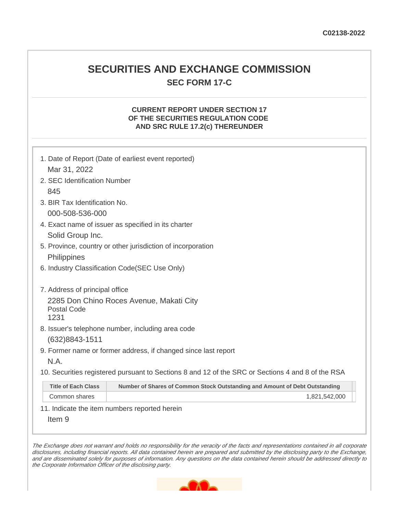## **SECURITIES AND EXCHANGE COMMISSION SEC FORM 17-C**

#### **CURRENT REPORT UNDER SECTION 17 OF THE SECURITIES REGULATION CODE AND SRC RULE 17.2(c) THEREUNDER**

|                                                                                                   | 1. Date of Report (Date of earliest event reported)         |                                                                             |  |  |  |  |
|---------------------------------------------------------------------------------------------------|-------------------------------------------------------------|-----------------------------------------------------------------------------|--|--|--|--|
|                                                                                                   | Mar 31, 2022                                                |                                                                             |  |  |  |  |
|                                                                                                   | 2. SEC Identification Number                                |                                                                             |  |  |  |  |
|                                                                                                   | 845                                                         |                                                                             |  |  |  |  |
|                                                                                                   | 3. BIR Tax Identification No.                               |                                                                             |  |  |  |  |
|                                                                                                   | 000-508-536-000                                             |                                                                             |  |  |  |  |
|                                                                                                   | 4. Exact name of issuer as specified in its charter         |                                                                             |  |  |  |  |
|                                                                                                   | Solid Group Inc.                                            |                                                                             |  |  |  |  |
|                                                                                                   | 5. Province, country or other jurisdiction of incorporation |                                                                             |  |  |  |  |
|                                                                                                   | <b>Philippines</b>                                          |                                                                             |  |  |  |  |
|                                                                                                   | 6. Industry Classification Code(SEC Use Only)               |                                                                             |  |  |  |  |
|                                                                                                   |                                                             |                                                                             |  |  |  |  |
|                                                                                                   | 7. Address of principal office                              |                                                                             |  |  |  |  |
|                                                                                                   | 2285 Don Chino Roces Avenue, Makati City                    |                                                                             |  |  |  |  |
|                                                                                                   | <b>Postal Code</b>                                          |                                                                             |  |  |  |  |
|                                                                                                   | 1231                                                        |                                                                             |  |  |  |  |
|                                                                                                   | 8. Issuer's telephone number, including area code           |                                                                             |  |  |  |  |
|                                                                                                   | (632)8843-1511                                              |                                                                             |  |  |  |  |
| 9. Former name or former address, if changed since last report                                    |                                                             |                                                                             |  |  |  |  |
|                                                                                                   | N.A.                                                        |                                                                             |  |  |  |  |
| 10. Securities registered pursuant to Sections 8 and 12 of the SRC or Sections 4 and 8 of the RSA |                                                             |                                                                             |  |  |  |  |
|                                                                                                   | <b>Title of Each Class</b>                                  | Number of Shares of Common Stock Outstanding and Amount of Debt Outstanding |  |  |  |  |
|                                                                                                   | Common shares                                               | 1,821,542,000                                                               |  |  |  |  |
|                                                                                                   |                                                             |                                                                             |  |  |  |  |

11. Indicate the item numbers reported herein

Item 9

The Exchange does not warrant and holds no responsibility for the veracity of the facts and representations contained in all corporate disclosures, including financial reports. All data contained herein are prepared and submitted by the disclosing party to the Exchange, and are disseminated solely for purposes of information. Any questions on the data contained herein should be addressed directly to the Corporate Information Officer of the disclosing party.

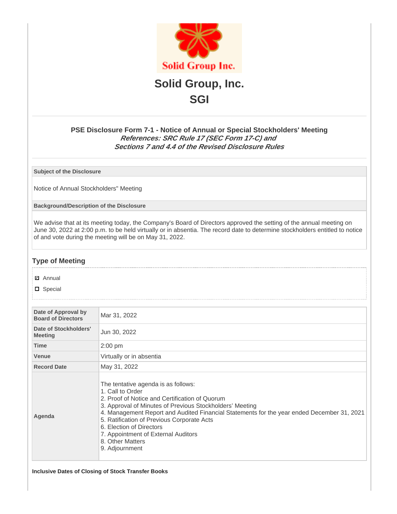

# **Solid Group, Inc. SGI**

### **PSE Disclosure Form 7-1 - Notice of Annual or Special Stockholders' Meeting References: SRC Rule 17 (SEC Form 17-C) and Sections 7 and 4.4 of the Revised Disclosure Rules**

**Subject of the Disclosure**

Notice of Annual Stockholders" Meeting

**Background/Description of the Disclosure**

We advise that at its meeting today, the Company's Board of Directors approved the setting of the annual meeting on June 30, 2022 at 2:00 p.m. to be held virtually or in absentia. The record date to determine stockholders entitled to notice of and vote during the meeting will be on May 31, 2022.

### **Type of Meeting**

#### **☑** Annual

D Special

| Date of Approval by<br><b>Board of Directors</b> | Mar 31, 2022                                                                                                                                                                                                                                                                                                                                                                                                               |  |  |
|--------------------------------------------------|----------------------------------------------------------------------------------------------------------------------------------------------------------------------------------------------------------------------------------------------------------------------------------------------------------------------------------------------------------------------------------------------------------------------------|--|--|
| Date of Stockholders'<br><b>Meeting</b>          | Jun 30, 2022                                                                                                                                                                                                                                                                                                                                                                                                               |  |  |
| Time                                             | $2:00$ pm                                                                                                                                                                                                                                                                                                                                                                                                                  |  |  |
| <b>Venue</b>                                     | Virtually or in absentia                                                                                                                                                                                                                                                                                                                                                                                                   |  |  |
| <b>Record Date</b>                               | May 31, 2022                                                                                                                                                                                                                                                                                                                                                                                                               |  |  |
| Agenda                                           | The tentative agenda is as follows:<br>1. Call to Order<br>2. Proof of Notice and Certification of Quorum<br>3. Approval of Minutes of Previous Stockholders' Meeting<br>4. Management Report and Audited Financial Statements for the year ended December 31, 2021<br>5. Ratification of Previous Corporate Acts<br>6. Election of Directors<br>7. Appointment of External Auditors<br>8. Other Matters<br>9. Adjournment |  |  |

**Inclusive Dates of Closing of Stock Transfer Books**